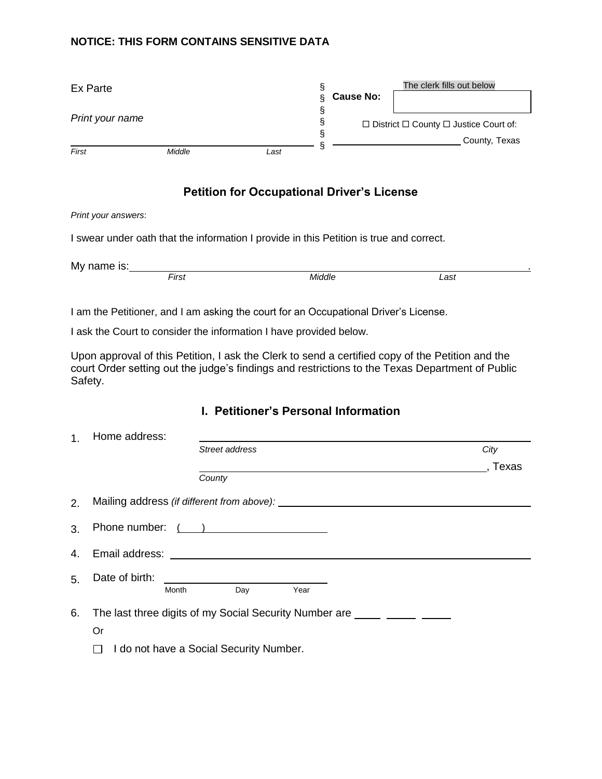#### **NOTICE: THIS FORM CONTAINS SENSITIVE DATA**

| Ex Parte        |        |      |  | <b>Cause No:</b> | The clerk fills out below                              |  |
|-----------------|--------|------|--|------------------|--------------------------------------------------------|--|
|                 |        |      |  |                  |                                                        |  |
| Print your name |        |      |  |                  | $\Box$ District $\Box$ County $\Box$ Justice Court of: |  |
| First           | Middle | Last |  |                  | County, Texas                                          |  |

## **Petition for Occupational Driver's License**

#### *Print your answers*:

I swear under oath that the information I provide in this Petition is true and correct.

My name is: First

*First Middle Last* 

I am the Petitioner, and I am asking the court for an Occupational Driver's License.

I ask the Court to consider the information I have provided below.

Upon approval of this Petition, I ask the Clerk to send a certified copy of the Petition and the court Order setting out the judge's findings and restrictions to the Texas Department of Public Safety.

### **I. Petitioner's Personal Information**

| 1 <sup>1</sup> | Home address:                                                            |                |      |       |  |  |  |
|----------------|--------------------------------------------------------------------------|----------------|------|-------|--|--|--|
|                |                                                                          | Street address |      | City  |  |  |  |
|                |                                                                          |                |      | Texas |  |  |  |
|                |                                                                          | County         |      |       |  |  |  |
| 2.             |                                                                          |                |      |       |  |  |  |
| 3.             | Phone number: ( )                                                        |                |      |       |  |  |  |
|                |                                                                          |                |      |       |  |  |  |
| 5 <sub>1</sub> |                                                                          |                |      |       |  |  |  |
|                | Month                                                                    | Day            | Year |       |  |  |  |
| 6.             | The last three digits of my Social Security Number are _____ _____ _____ |                |      |       |  |  |  |
|                | Or                                                                       |                |      |       |  |  |  |
|                | I do not have a Social Security Number.                                  |                |      |       |  |  |  |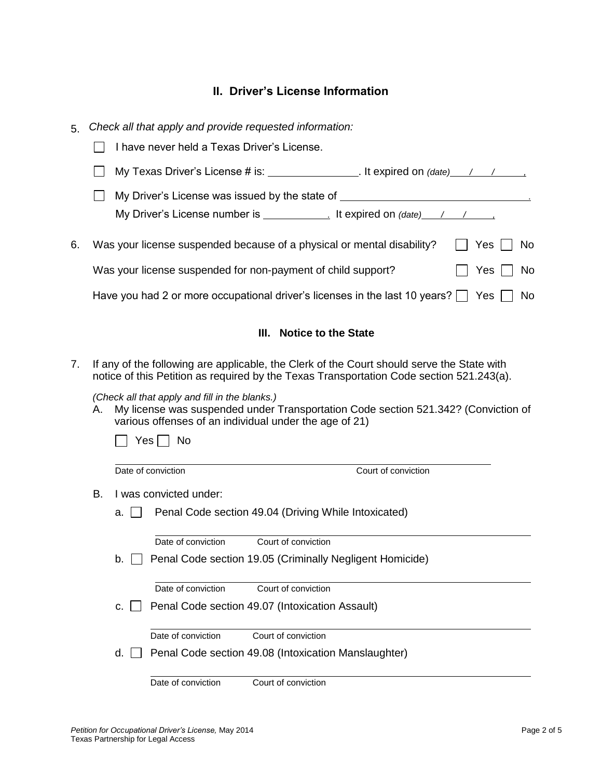# **II. Driver's License Information**

| 5. |                                                                                                                                                                                                                            |                    |                                             | Check all that apply and provide requested information: |                                                                                                                                                                                                         |           |  |
|----|----------------------------------------------------------------------------------------------------------------------------------------------------------------------------------------------------------------------------|--------------------|---------------------------------------------|---------------------------------------------------------|---------------------------------------------------------------------------------------------------------------------------------------------------------------------------------------------------------|-----------|--|
|    |                                                                                                                                                                                                                            |                    | I have never held a Texas Driver's License. |                                                         |                                                                                                                                                                                                         |           |  |
|    |                                                                                                                                                                                                                            |                    |                                             |                                                         |                                                                                                                                                                                                         |           |  |
|    |                                                                                                                                                                                                                            |                    |                                             |                                                         | My Driver's License was issued by the state of _________________________________<br>My Driver's License number is $\frac{1}{\sqrt{1-\frac{1}{2}}}\$ It expired on $\frac{(\text{date})}{(\text{date})}$ |           |  |
| 6. |                                                                                                                                                                                                                            |                    |                                             |                                                         | Was your license suspended because of a physical or mental disability?                                                                                                                                  | Yes<br>No |  |
|    | Yes<br>No                                                                                                                                                                                                                  |                    |                                             |                                                         |                                                                                                                                                                                                         |           |  |
|    |                                                                                                                                                                                                                            |                    |                                             |                                                         | Have you had 2 or more occupational driver's licenses in the last 10 years? $\vert \vert$ Yes                                                                                                           | No        |  |
|    |                                                                                                                                                                                                                            |                    |                                             | <b>Notice to the State</b><br>III.                      |                                                                                                                                                                                                         |           |  |
| 7. | If any of the following are applicable, the Clerk of the Court should serve the State with<br>notice of this Petition as required by the Texas Transportation Code section 521.243(a).                                     |                    |                                             |                                                         |                                                                                                                                                                                                         |           |  |
|    | (Check all that apply and fill in the blanks.)<br>My license was suspended under Transportation Code section 521.342? (Conviction of<br>Α.<br>various offenses of an individual under the age of 21)<br>$Yes \mid \mid No$ |                    |                                             |                                                         |                                                                                                                                                                                                         |           |  |
|    |                                                                                                                                                                                                                            | Date of conviction |                                             |                                                         | Court of conviction                                                                                                                                                                                     |           |  |
|    | I was convicted under:<br>В.                                                                                                                                                                                               |                    |                                             |                                                         |                                                                                                                                                                                                         |           |  |
|    |                                                                                                                                                                                                                            | а. І І             |                                             | Penal Code section 49.04 (Driving While Intoxicated)    |                                                                                                                                                                                                         |           |  |
|    |                                                                                                                                                                                                                            |                    | Date of conviction                          | Court of conviction                                     |                                                                                                                                                                                                         |           |  |
|    |                                                                                                                                                                                                                            |                    |                                             |                                                         | b. Penal Code section 19.05 (Criminally Negligent Homicide)                                                                                                                                             |           |  |
|    |                                                                                                                                                                                                                            |                    | Date of conviction                          | Court of conviction                                     |                                                                                                                                                                                                         |           |  |
|    |                                                                                                                                                                                                                            | C.                 |                                             | Penal Code section 49.07 (Intoxication Assault)         |                                                                                                                                                                                                         |           |  |
|    |                                                                                                                                                                                                                            |                    | Date of conviction                          | Court of conviction                                     |                                                                                                                                                                                                         |           |  |
|    |                                                                                                                                                                                                                            | d.                 |                                             | Penal Code section 49.08 (Intoxication Manslaughter)    |                                                                                                                                                                                                         |           |  |

Date of conviction Court of conviction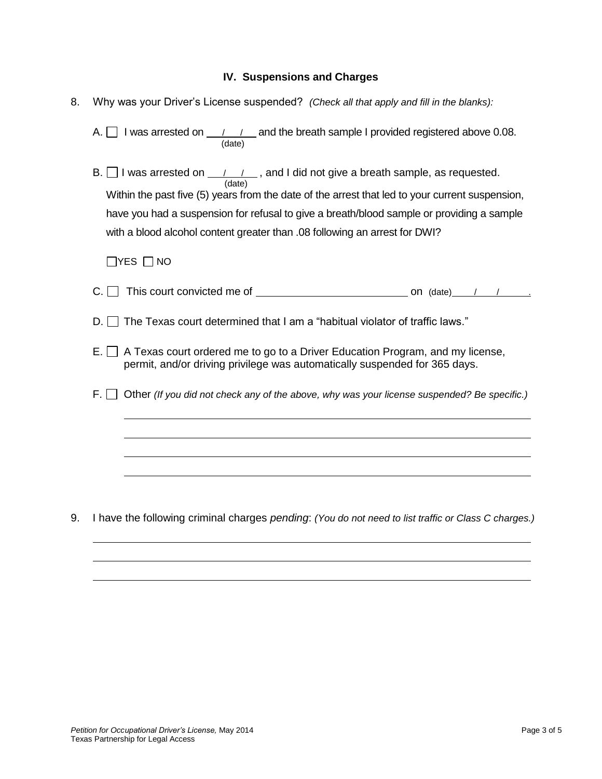#### **IV. Suspensions and Charges**

8. Why was your Driver's License suspended? *(Check all that apply and fill in the blanks):*

A.  $\Box$  I was arrested on  $\Box$  /  $\Box$  and the breath sample I provided registered above 0.08. (date)

B.  $\Box$  I was arrested on  $\Box$  /  $\Box$ , and I did not give a breath sample, as requested. (date) Within the past five (5) years from the date of the arrest that led to your current suspension, have you had a suspension for refusal to give a breath/blood sample or providing a sample with a blood alcohol content greater than .08 following an arrest for DWI?

 $\Box$ YES  $\Box$ NO

- C.  $\Box$  This court convicted me of  $\Box$  on (date)  $\Box$  /  $\Box$
- $D. \Box$  The Texas court determined that I am a "habitual violator of traffic laws."
- $E.$  A Texas court ordered me to go to a Driver Education Program, and my license, permit, and/or driving privilege was automatically suspended for 365 days.
- F. Other *(If you did not check any of the above, why was your license suspended? Be specific.)*

9. I have the following criminal charges *pending*: *(You do not need to list traffic or Class C charges.)*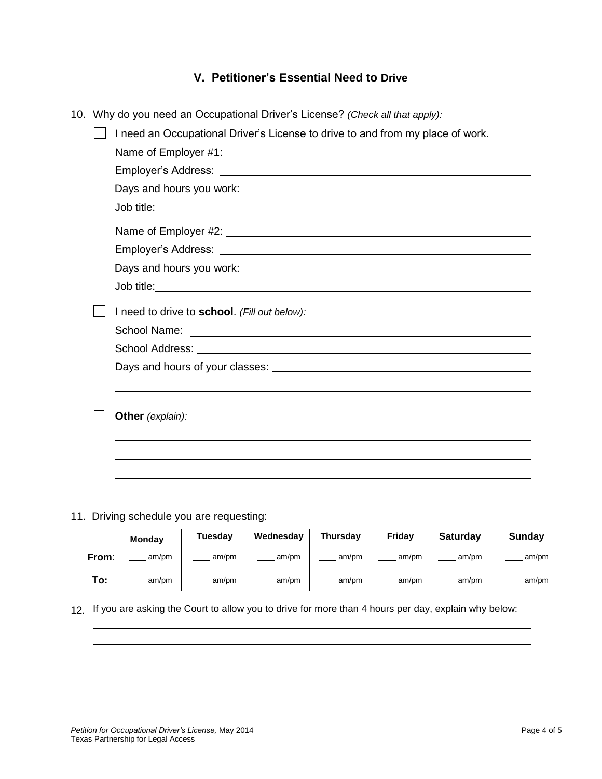## **V. Petitioner's Essential Need to Drive**

|  |       | 10. Why do you need an Occupational Driver's License? (Check all that apply):  |                                                                                                                                                                                                                                |                                                                 |          |                     |                 |               |  |
|--|-------|--------------------------------------------------------------------------------|--------------------------------------------------------------------------------------------------------------------------------------------------------------------------------------------------------------------------------|-----------------------------------------------------------------|----------|---------------------|-----------------|---------------|--|
|  |       | I need an Occupational Driver's License to drive to and from my place of work. |                                                                                                                                                                                                                                |                                                                 |          |                     |                 |               |  |
|  |       |                                                                                | Name of Employer #1: Next and the state of the state of the state of the state of the state of the state of the state of the state of the state of the state of the state of the state of the state of the state of the state  |                                                                 |          |                     |                 |               |  |
|  |       |                                                                                |                                                                                                                                                                                                                                |                                                                 |          |                     |                 |               |  |
|  |       |                                                                                |                                                                                                                                                                                                                                |                                                                 |          |                     |                 |               |  |
|  |       |                                                                                |                                                                                                                                                                                                                                |                                                                 |          |                     |                 |               |  |
|  |       |                                                                                |                                                                                                                                                                                                                                |                                                                 |          |                     |                 |               |  |
|  |       |                                                                                |                                                                                                                                                                                                                                |                                                                 |          |                     |                 |               |  |
|  |       |                                                                                |                                                                                                                                                                                                                                |                                                                 |          |                     |                 |               |  |
|  |       |                                                                                |                                                                                                                                                                                                                                |                                                                 |          |                     |                 |               |  |
|  |       |                                                                                | I need to drive to school. (Fill out below):                                                                                                                                                                                   |                                                                 |          |                     |                 |               |  |
|  |       | School Name:                                                                   |                                                                                                                                                                                                                                | <u> 1980 - Johann Stein, marwolaethau (b. 1980)</u>             |          |                     |                 |               |  |
|  |       |                                                                                |                                                                                                                                                                                                                                |                                                                 |          |                     |                 |               |  |
|  |       |                                                                                |                                                                                                                                                                                                                                |                                                                 |          |                     |                 |               |  |
|  |       |                                                                                | Other (explain): example and the contract of the contract of the contract of the contract of the contract of the contract of the contract of the contract of the contract of the contract of the contract of the contract of t |                                                                 |          |                     |                 |               |  |
|  |       |                                                                                |                                                                                                                                                                                                                                |                                                                 |          |                     |                 |               |  |
|  |       |                                                                                |                                                                                                                                                                                                                                |                                                                 |          |                     |                 |               |  |
|  |       |                                                                                | 11. Driving schedule you are requesting:                                                                                                                                                                                       |                                                                 |          |                     |                 |               |  |
|  |       | <b>Monday</b>                                                                  | <b>Tuesday</b>                                                                                                                                                                                                                 | <b>Wednesday</b>                                                | Thursday | Friday              | <b>Saturday</b> | <b>Sunday</b> |  |
|  | From: | am/pm                                                                          | $\frac{1}{2}$ am/pm                                                                                                                                                                                                            | $\frac{1}{2}$ am/pm                                             | am/pm    | $\frac{1}{2}$ am/pm | am/pm           | am/pm         |  |
|  | To:   | am/pm                                                                          |                                                                                                                                                                                                                                | _____ am/pm   ____ am/pm   ____ am/pm   ____ am/pm   ____ am/pm |          |                     |                 | _____ am/pm   |  |
|  |       |                                                                                | 12. If you are asking the Court to allow you to drive for more than 4 hours per day, explain why below:                                                                                                                        |                                                                 |          |                     |                 |               |  |